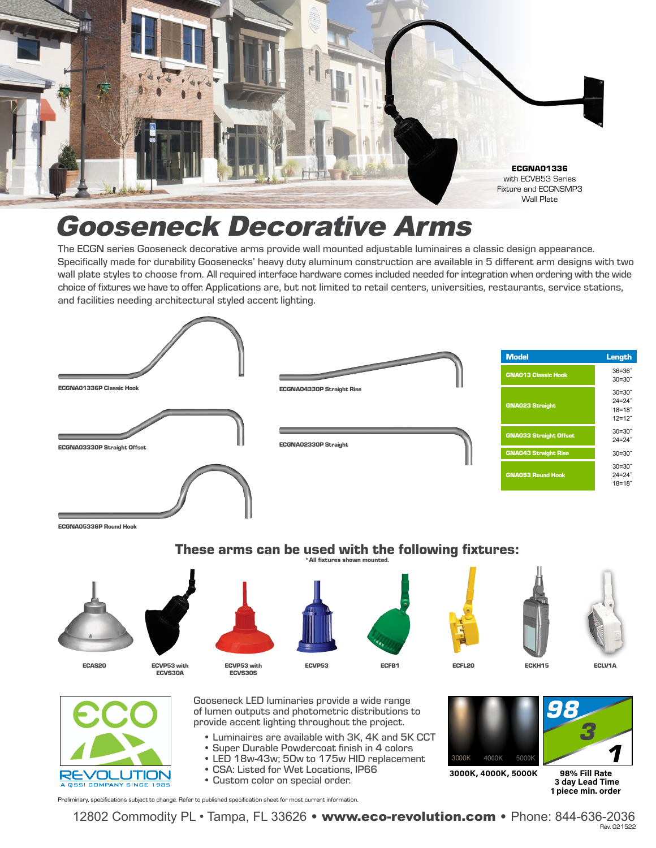

## Gooseneck Decorative Arms

The ECGN series Gooseneck decorative arms provide wall mounted adjustable luminaires a classic design appearance. Specifically made for durability Goosenecks' heavy duty aluminum construction are available in 5 different arm designs with two wall plate styles to choose from. All required interface hardware comes included needed for integration when ordering with the wide choice of fixtures we have to offer. Applications are, but not limited to retail centers, universities, restaurants, service stations, and facilities needing architectural styled accent lighting.



12802 Commodity PL • Tampa, FL 33626 • www.eco-revolution.com • Phone: 844-636-2036 Rev. 021522